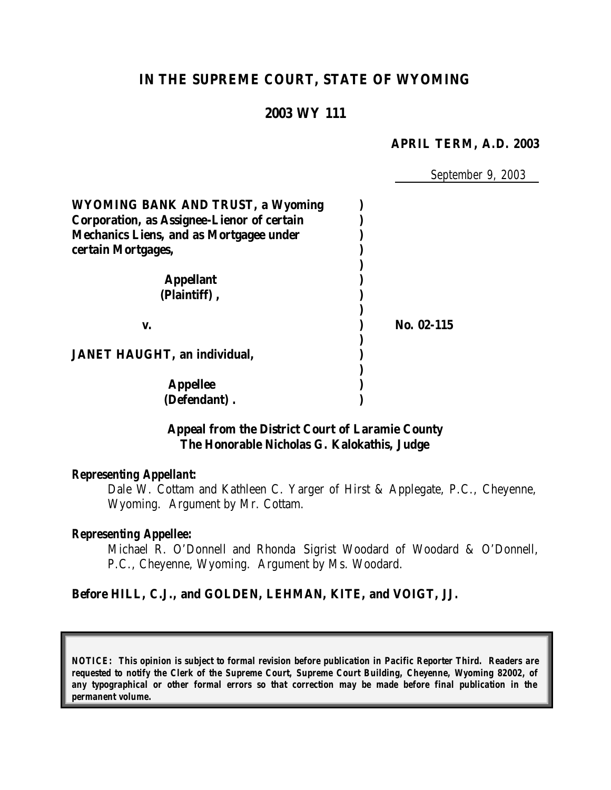# **IN THE SUPREME COURT, STATE OF WYOMING**

# **2003 WY 111**

#### **APRIL TERM, A.D. 2003**

*September 9, 2003*

| <b>WYOMING BANK AND TRUST, a Wyoming</b>          |            |
|---------------------------------------------------|------------|
| <b>Corporation, as Assignee-Lienor of certain</b> |            |
| <b>Mechanics Liens, and as Mortgagee under</b>    |            |
| certain Mortgages,                                |            |
|                                                   |            |
| <b>Appellant</b>                                  |            |
| (Plaintiff),                                      |            |
| V.                                                | No. 02-115 |
|                                                   |            |
| <b>JANET HAUGHT, an individual,</b>               |            |
|                                                   |            |
| <b>Appellee</b>                                   |            |
| (Defendant).                                      |            |

### **Appeal from the District Court of Laramie County The Honorable Nicholas G. Kalokathis, Judge**

#### *Representing Appellant:*

Dale W. Cottam and Kathleen C. Yarger of Hirst & Applegate, P.C., Cheyenne, Wyoming. Argument by Mr. Cottam.

#### *Representing Appellee:*

Michael R. O'Donnell and Rhonda Sigrist Woodard of Woodard & O'Donnell, P.C., Cheyenne, Wyoming. Argument by Ms. Woodard.

#### **Before HILL, C.J., and GOLDEN, LEHMAN, KITE, and VOIGT, JJ.**

*NOTICE: This opinion is subject to formal revision before publication in Pacific Reporter Third. Readers are requested to notify the Clerk of the Supreme Court, Supreme Court Building, Cheyenne, Wyoming 82002, of any typographical or other formal errors so that correction may be made before final publication in the permanent volume.*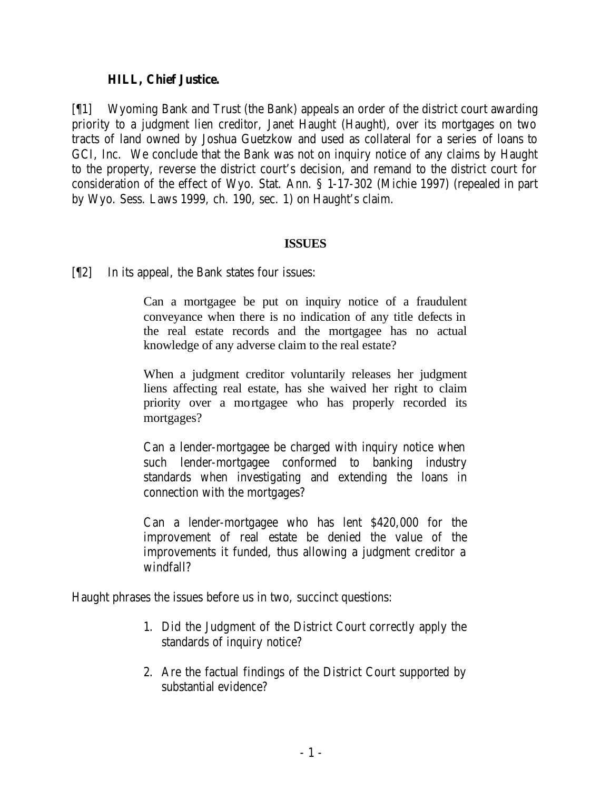## **HILL, Chief Justice.**

[¶1] Wyoming Bank and Trust (the Bank) appeals an order of the district court awarding priority to a judgment lien creditor, Janet Haught (Haught), over its mortgages on two tracts of land owned by Joshua Guetzkow and used as collateral for a series of loans to GCI, Inc. We conclude that the Bank was not on inquiry notice of any claims by Haught to the property, reverse the district court's decision, and remand to the district court for consideration of the effect of Wyo. Stat. Ann. § 1-17-302 (Michie 1997) (repealed in part by Wyo. Sess. Laws 1999, ch. 190, sec. 1) on Haught's claim.

# **ISSUES**

[¶2] In its appeal, the Bank states four issues:

Can a mortgagee be put on inquiry notice of a fraudulent conveyance when there is no indication of any title defects in the real estate records and the mortgagee has no actual knowledge of any adverse claim to the real estate?

When a judgment creditor voluntarily releases her judgment liens affecting real estate, has she waived her right to claim priority over a mortgagee who has properly recorded its mortgages?

Can a lender-mortgagee be charged with inquiry notice when such lender-mortgagee conformed to banking industry standards when investigating and extending the loans in connection with the mortgages?

Can a lender-mortgagee who has lent \$420,000 for the improvement of real estate be denied the value of the improvements it funded, thus allowing a judgment creditor a windfall?

Haught phrases the issues before us in two, succinct questions:

- 1. Did the Judgment of the District Court correctly apply the standards of inquiry notice?
- 2. Are the factual findings of the District Court supported by substantial evidence?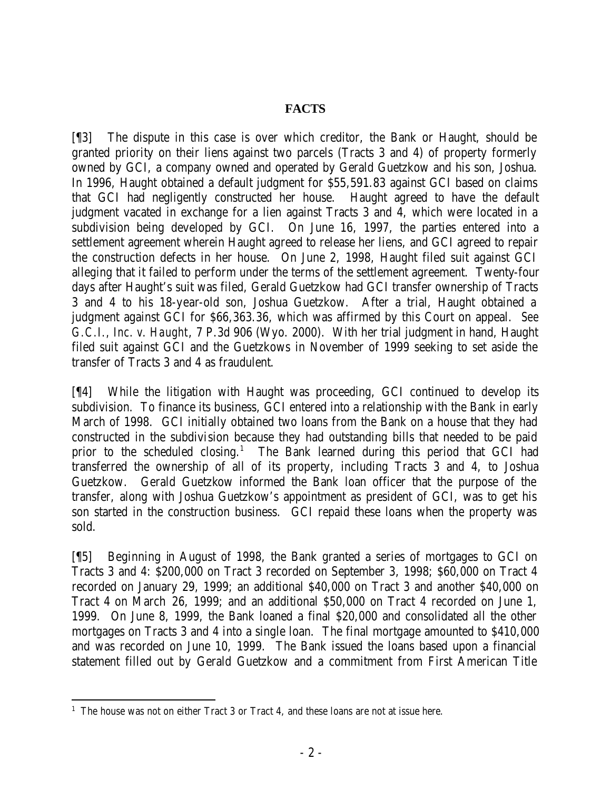# **FACTS**

[¶3] The dispute in this case is over which creditor, the Bank or Haught, should be granted priority on their liens against two parcels (Tracts 3 and 4) of property formerly owned by GCI, a company owned and operated by Gerald Guetzkow and his son, Joshua. In 1996, Haught obtained a default judgment for \$55,591.83 against GCI based on claims that GCI had negligently constructed her house. Haught agreed to have the default judgment vacated in exchange for a lien against Tracts 3 and 4, which were located in a subdivision being developed by GCI. On June 16, 1997, the parties entered into a settlement agreement wherein Haught agreed to release her liens, and GCI agreed to repair the construction defects in her house. On June 2, 1998, Haught filed suit against GCI alleging that it failed to perform under the terms of the settlement agreement. Twenty-four days after Haught's suit was filed, Gerald Guetzkow had GCI transfer ownership of Tracts 3 and 4 to his 18-year-old son, Joshua Guetzkow. After a trial, Haught obtained a judgment against GCI for \$66,363.36, which was affirmed by this Court on appeal. *See G.C.I., Inc. v. Haught*, 7 P.3d 906 (Wyo. 2000). With her trial judgment in hand, Haught filed suit against GCI and the Guetzkows in November of 1999 seeking to set aside the transfer of Tracts 3 and 4 as fraudulent.

[¶4] While the litigation with Haught was proceeding, GCI continued to develop its subdivision. To finance its business, GCI entered into a relationship with the Bank in early March of 1998. GCI initially obtained two loans from the Bank on a house that they had constructed in the subdivision because they had outstanding bills that needed to be paid prior to the scheduled closing.<sup>1</sup> The Bank learned during this period that GCI had transferred the ownership of all of its property, including Tracts 3 and 4, to Joshua Guetzkow. Gerald Guetzkow informed the Bank loan officer that the purpose of the transfer, along with Joshua Guetzkow's appointment as president of GCI, was to get his son started in the construction business. GCI repaid these loans when the property was sold.

[¶5] Beginning in August of 1998, the Bank granted a series of mortgages to GCI on Tracts 3 and 4: \$200,000 on Tract 3 recorded on September 3, 1998; \$60,000 on Tract 4 recorded on January 29, 1999; an additional \$40,000 on Tract 3 and another \$40,000 on Tract 4 on March 26, 1999; and an additional \$50,000 on Tract 4 recorded on June 1, 1999. On June 8, 1999, the Bank loaned a final \$20,000 and consolidated all the other mortgages on Tracts 3 and 4 into a single loan. The final mortgage amounted to \$410,000 and was recorded on June 10, 1999. The Bank issued the loans based upon a financial statement filled out by Gerald Guetzkow and a commitment from First American Title

<sup>&</sup>lt;sup>1</sup> The house was not on either Tract 3 or Tract 4, and these loans are not at issue here.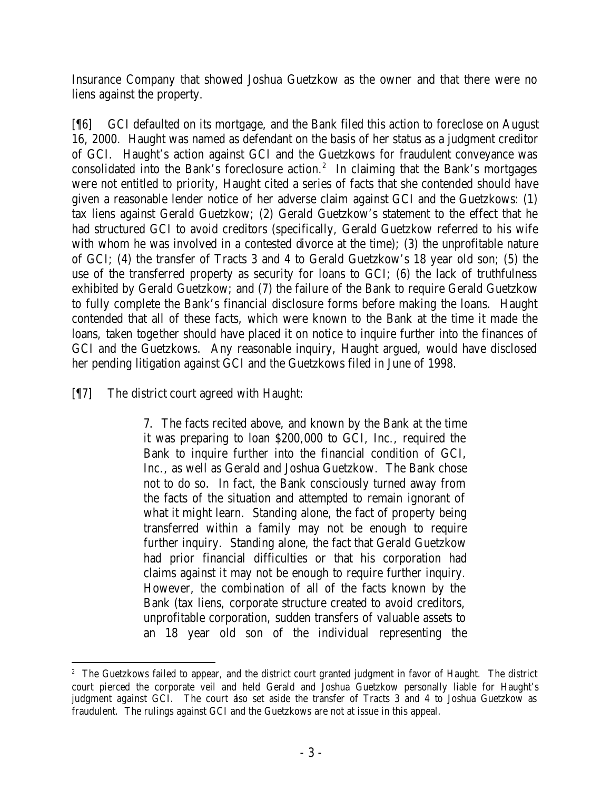Insurance Company that showed Joshua Guetzkow as the owner and that there were no liens against the property.

[¶6] GCI defaulted on its mortgage, and the Bank filed this action to foreclose on August 16, 2000. Haught was named as defendant on the basis of her status as a judgment creditor of GCI. Haught's action against GCI and the Guetzkows for fraudulent conveyance was consolidated into the Bank's foreclosure action.<sup>2</sup> In claiming that the Bank's mortgages were not entitled to priority, Haught cited a series of facts that she contended should have given a reasonable lender notice of her adverse claim against GCI and the Guetzkows: (1) tax liens against Gerald Guetzkow; (2) Gerald Guetzkow's statement to the effect that he had structured GCI to avoid creditors (specifically, Gerald Guetzkow referred to his wife with whom he was involved in a contested divorce at the time); (3) the unprofitable nature of GCI; (4) the transfer of Tracts 3 and 4 to Gerald Guetzkow's 18 year old son; (5) the use of the transferred property as security for loans to GCI; (6) the lack of truthfulness exhibited by Gerald Guetzkow; and (7) the failure of the Bank to require Gerald Guetzkow to fully complete the Bank's financial disclosure forms before making the loans. Haught contended that all of these facts, which were known to the Bank at the time it made the loans, taken together should have placed it on notice to inquire further into the finances of GCI and the Guetzkows. Any reasonable inquiry, Haught argued, would have disclosed her pending litigation against GCI and the Guetzkows filed in June of 1998.

[¶7] The district court agreed with Haught:

7. The facts recited above, and known by the Bank at the time it was preparing to loan \$200,000 to GCI, Inc., required the Bank to inquire further into the financial condition of GCI, Inc., as well as Gerald and Joshua Guetzkow. The Bank chose not to do so. In fact, the Bank consciously turned away from the facts of the situation and attempted to remain ignorant of what it might learn. Standing alone, the fact of property being transferred within a family may not be enough to require further inquiry. Standing alone, the fact that Gerald Guetzkow had prior financial difficulties or that his corporation had claims against it may not be enough to require further inquiry. However, the combination of all of the facts known by the Bank (tax liens, corporate structure created to avoid creditors, unprofitable corporation, sudden transfers of valuable assets to an 18 year old son of the individual representing the

<sup>&</sup>lt;sup>2</sup> The Guetzkows failed to appear, and the district court granted judgment in favor of Haught. The district court pierced the corporate veil and held Gerald and Joshua Guetzkow personally liable for Haught's judgment against GCI. The court also set aside the transfer of Tracts 3 and 4 to Joshua Guetzkow as fraudulent. The rulings against GCI and the Guetzkows are not at issue in this appeal.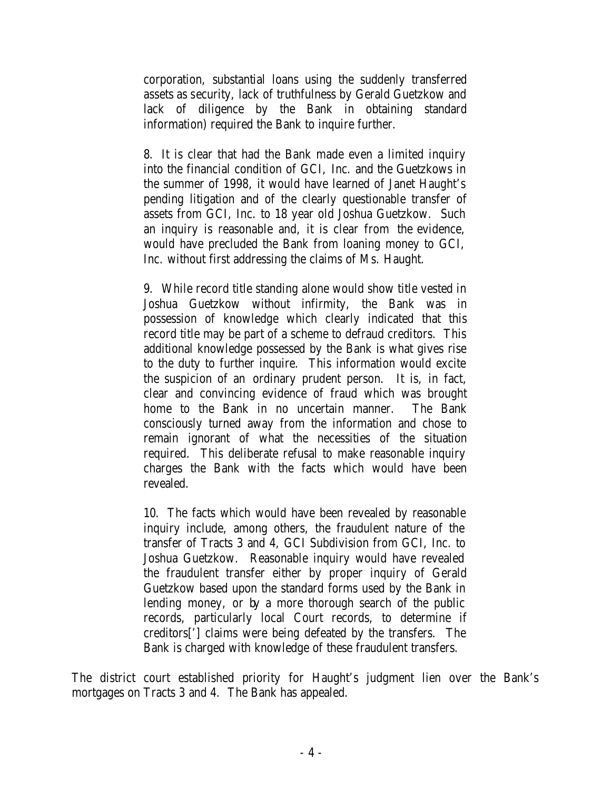corporation, substantial loans using the suddenly transferred assets as security, lack of truthfulness by Gerald Guetzkow and lack of diligence by the Bank in obtaining standard information) required the Bank to inquire further.

8. It is clear that had the Bank made even a limited inquiry into the financial condition of GCI, Inc. and the Guetzkows in the summer of 1998, it would have learned of Janet Haught's pending litigation and of the clearly questionable transfer of assets from GCI, Inc. to 18 year old Joshua Guetzkow. Such an inquiry is reasonable and, it is clear from the evidence, would have precluded the Bank from loaning money to GCI, Inc. without first addressing the claims of Ms. Haught.

9. While record title standing alone would show title vested in Joshua Guetzkow without infirmity, the Bank was in possession of knowledge which clearly indicated that this record title may be part of a scheme to defraud creditors. This additional knowledge possessed by the Bank is what gives rise to the duty to further inquire. This information would excite the suspicion of an ordinary prudent person. It is, in fact, clear and convincing evidence of fraud which was brought home to the Bank in no uncertain manner. The Bank consciously turned away from the information and chose to remain ignorant of what the necessities of the situation required. This deliberate refusal to make reasonable inquiry charges the Bank with the facts which would have been revealed.

10. The facts which would have been revealed by reasonable inquiry include, among others, the fraudulent nature of the transfer of Tracts 3 and 4, GCI Subdivision from GCI, Inc. to Joshua Guetzkow. Reasonable inquiry would have revealed the fraudulent transfer either by proper inquiry of Gerald Guetzkow based upon the standard forms used by the Bank in lending money, or by a more thorough search of the public records, particularly local Court records, to determine if creditors['] claims were being defeated by the transfers. The Bank is charged with knowledge of these fraudulent transfers.

The district court established priority for Haught's judgment lien over the Bank's mortgages on Tracts 3 and 4. The Bank has appealed.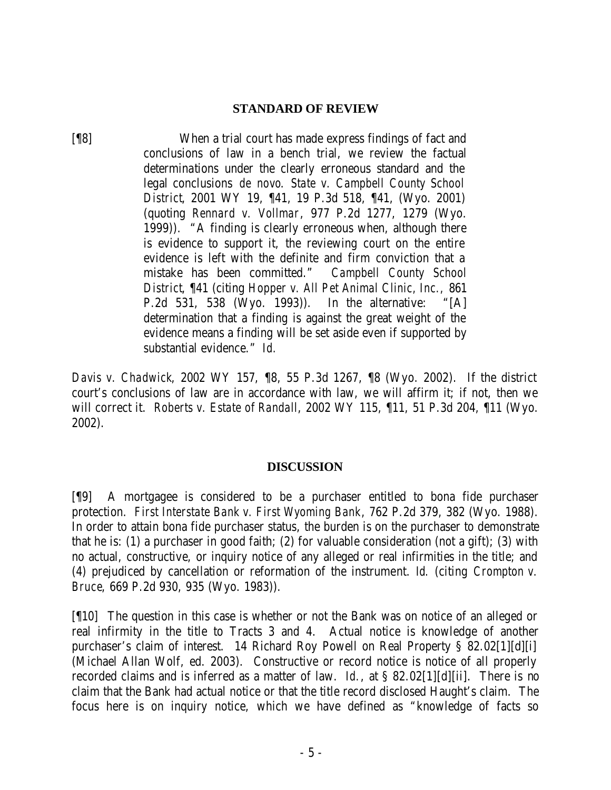### **STANDARD OF REVIEW**

[¶8] When a trial court has made express findings of fact and conclusions of law in a bench trial, we review the factual determinations under the clearly erroneous standard and the legal conclusions *de novo*. *State v. Campbell County School District*, 2001 WY 19, ¶41, 19 P.3d 518, ¶41, (Wyo. 2001) (quoting *Rennard v. Vollmar*, 977 P.2d 1277, 1279 (Wyo. 1999)). "A finding is clearly erroneous when, although there is evidence to support it, the reviewing court on the entire evidence is left with the definite and firm conviction that a mistake has been committed." *Campbell County School District*, ¶41 (citing *Hopper v. All Pet Animal Clinic, Inc.,* 861 P.2d 531, 538 (Wyo. 1993)). In the alternative: "[A] determination that a finding is against the great weight of the evidence means a finding will be set aside even if supported by substantial evidence." *Id.*

*Davis v. Chadwick*, 2002 WY 157, ¶8, 55 P.3d 1267, ¶8 (Wyo. 2002). If the district court's conclusions of law are in accordance with law, we will affirm it; if not, then we will correct it. *Roberts v. Estate of Randall*, 2002 WY 115, ¶11, 51 P.3d 204, ¶11 (Wyo. 2002).

## **DISCUSSION**

[¶9] A mortgagee is considered to be a purchaser entitled to bona fide purchaser protection. *First Interstate Bank v. First Wyoming Bank*, 762 P.2d 379, 382 (Wyo. 1988). In order to attain bona fide purchaser status, the burden is on the purchaser to demonstrate that he is: (1) a purchaser in good faith; (2) for valuable consideration (not a gift); (3) with no actual, constructive, or inquiry notice of any alleged or real infirmities in the title; and (4) prejudiced by cancellation or reformation of the instrument. *Id.* (citing *Crompton v. Bruce*, 669 P.2d 930, 935 (Wyo. 1983)).

[¶10] The question in this case is whether or not the Bank was on notice of an alleged or real infirmity in the title to Tracts 3 and 4. Actual notice is knowledge of another purchaser's claim of interest. 14 Richard Roy Powell on Real Property § 82.02[1][d][i] (Michael Allan Wolf, ed. 2003). Constructive or record notice is notice of all properly recorded claims and is inferred as a matter of law. *Id.*, at § 82.02[1][d][ii]. There is no claim that the Bank had actual notice or that the title record disclosed Haught's claim. The focus here is on inquiry notice, which we have defined as "knowledge of facts so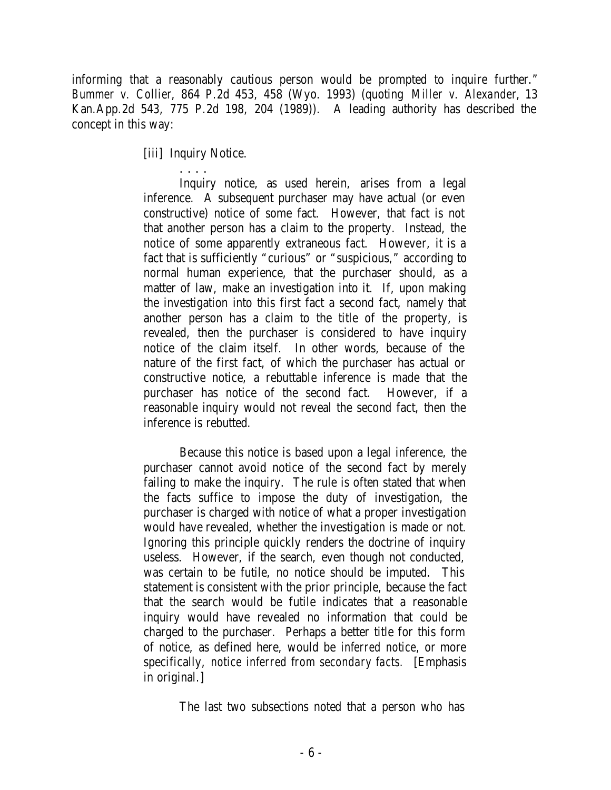informing that a reasonably cautious person would be prompted to inquire further." *Bummer v. Collier*, 864 P.2d 453, 458 (Wyo. 1993) (quoting *Miller v. Alexander*, 13 Kan.App.2d 543, 775 P.2d 198, 204 (1989)). A leading authority has described the concept in this way:

[iii] Inquiry Notice.

. . . . Inquiry notice, as used herein, arises from a legal inference. A subsequent purchaser may have actual (or even constructive) notice of some fact. However, that fact is not that another person has a claim to the property. Instead, the notice of some apparently extraneous fact. However, it is a fact that is sufficiently "curious" or "suspicious," according to normal human experience, that the purchaser should, as a matter of law, make an investigation into it. If, upon making the investigation into this first fact a second fact, namely that another person has a claim to the title of the property, is revealed, then the purchaser is considered to have inquiry notice of the claim itself. In other words, because of the nature of the first fact, of which the purchaser has actual or constructive notice, a rebuttable inference is made that the purchaser has notice of the second fact. However, if a reasonable inquiry would not reveal the second fact, then the inference is rebutted.

Because this notice is based upon a legal inference, the purchaser cannot avoid notice of the second fact by merely failing to make the inquiry. The rule is often stated that when the facts suffice to impose the duty of investigation, the purchaser is charged with notice of what a proper investigation would have revealed, whether the investigation is made or not. Ignoring this principle quickly renders the doctrine of inquiry useless. However, if the search, even though not conducted, was certain to be futile, no notice should be imputed. This statement is consistent with the prior principle, because the fact that the search would be futile indicates that a reasonable inquiry would have revealed no information that could be charged to the purchaser. Perhaps a better title for this form of notice, as defined here, would be *inferred notice*, or more specifically, *notice inferred from secondary facts.* [Emphasis in original.]

The last two subsections noted that a person who has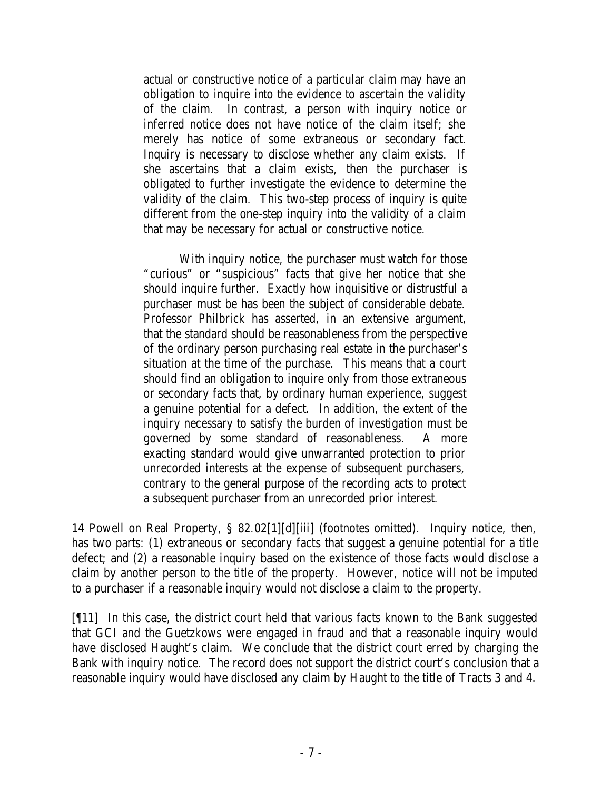actual or constructive notice of a particular claim may have an obligation to inquire into the evidence to ascertain the validity of the claim. In contrast, a person with inquiry notice or inferred notice does not have notice of the claim itself; she merely has notice of some extraneous or secondary fact. Inquiry is necessary to disclose whether any claim exists. If she ascertains that a claim exists, then the purchaser is obligated to further investigate the evidence to determine the validity of the claim. This two-step process of inquiry is quite different from the one-step inquiry into the validity of a claim that may be necessary for actual or constructive notice.

With inquiry notice, the purchaser must watch for those "curious" or "suspicious" facts that give her notice that she should inquire further. Exactly how inquisitive or distrustful a purchaser must be has been the subject of considerable debate. Professor Philbrick has asserted, in an extensive argument, that the standard should be reasonableness from the perspective of the ordinary person purchasing real estate in the purchaser's situation at the time of the purchase. This means that a court should find an obligation to inquire only from those extraneous or secondary facts that, by ordinary human experience, suggest a genuine potential for a defect. In addition, the extent of the inquiry necessary to satisfy the burden of investigation must be governed by some standard of reasonableness. A more exacting standard would give unwarranted protection to prior unrecorded interests at the expense of subsequent purchasers, contrary to the general purpose of the recording acts to protect a subsequent purchaser from an unrecorded prior interest.

14 Powell on Real Property, § 82.02[1][d][iii] (footnotes omitted). Inquiry notice, then, has two parts: (1) extraneous or secondary facts that suggest a genuine potential for a title defect; and (2) a reasonable inquiry based on the existence of those facts would disclose a claim by another person to the title of the property. However, notice will not be imputed to a purchaser if a reasonable inquiry would not disclose a claim to the property.

[¶11] In this case, the district court held that various facts known to the Bank suggested that GCI and the Guetzkows were engaged in fraud and that a reasonable inquiry would have disclosed Haught's claim. We conclude that the district court erred by charging the Bank with inquiry notice. The record does not support the district court's conclusion that a reasonable inquiry would have disclosed any claim by Haught to the title of Tracts 3 and 4.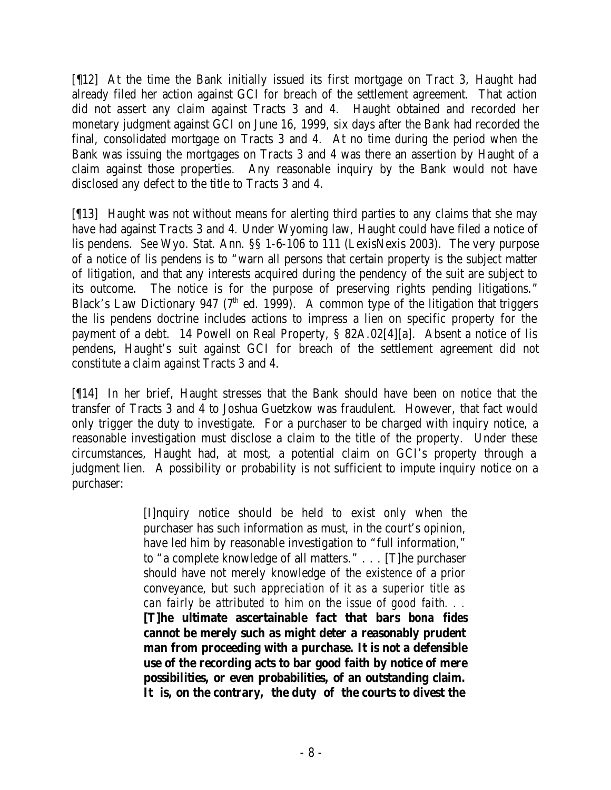[¶12] At the time the Bank initially issued its first mortgage on Tract 3, Haught had already filed her action against GCI for breach of the settlement agreement. That action did not assert any claim against Tracts 3 and 4. Haught obtained and recorded her monetary judgment against GCI on June 16, 1999, six days after the Bank had recorded the final, consolidated mortgage on Tracts 3 and 4. At no time during the period when the Bank was issuing the mortgages on Tracts 3 and 4 was there an assertion by Haught of a claim against those properties. Any reasonable inquiry by the Bank would not have disclosed any defect to the title to Tracts 3 and 4.

[¶13] Haught was not without means for alerting third parties to any claims that she may have had against Tracts 3 and 4. Under Wyoming law, Haught could have filed a notice of lis pendens. *See* Wyo. Stat. Ann. §§ 1-6-106 to 111 (LexisNexis 2003). The very purpose of a notice of lis pendens is to "warn all persons that certain property is the subject matter of litigation, and that any interests acquired during the pendency of the suit are subject to its outcome. The notice is for the purpose of preserving rights pending litigations." Black's Law Dictionary 947 ( $7<sup>th</sup>$  ed. 1999). A common type of the litigation that triggers the lis pendens doctrine includes actions to impress a lien on specific property for the payment of a debt. 14 Powell on Real Property, § 82A.02[4][a]. Absent a notice of lis pendens, Haught's suit against GCI for breach of the settlement agreement did not constitute a claim against Tracts 3 and 4.

[¶14] In her brief, Haught stresses that the Bank should have been on notice that the transfer of Tracts 3 and 4 to Joshua Guetzkow was fraudulent. However, that fact would only trigger the duty to investigate. For a purchaser to be charged with inquiry notice, a reasonable investigation must disclose a claim to the title of the property. Under these circumstances, Haught had, at most, a potential claim on GCI's property through a judgment lien. A possibility or probability is not sufficient to impute inquiry notice on a purchaser:

> [I]nquiry notice should be held to exist only when the purchaser has such information as must, in the court's opinion, have led him by reasonable investigation to "full information," to "a complete knowledge of all matters." . . . [T]he purchaser should have not merely knowledge of the *existence* of a prior conveyance, but *such appreciation of it as a superior title as can fairly be attributed to him on the issue of good faith*. . . **[T]he ultimate ascertainable fact that bars** *bona fides* **cannot be merely such as might deter a reasonably prudent man from proceeding with a purchase. It is not a defensible use of the recording acts to bar good faith by notice of mere**

**possibilities, or even probabilities, of an outstanding claim. It is, on the contrary, the duty of the courts to divest the**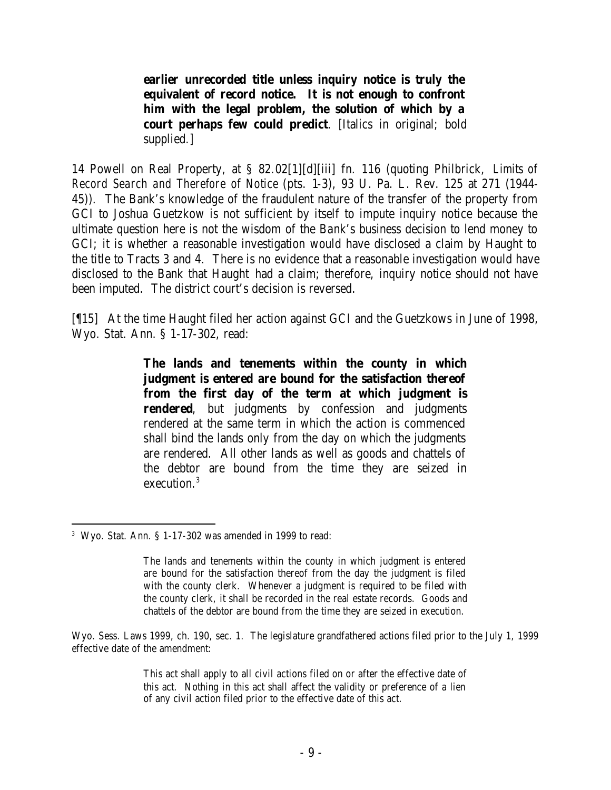**earlier unrecorded title unless inquiry notice is truly the equivalent of record notice. It is not enough to confront him with the legal problem, the solution of which by a court perhaps few could predict**. [Italics in original; bold supplied.]

14 Powell on Real Property, at § 82.02[1][d][iii] fn. 116 (quoting Philbrick, *Limits of Record Search and Therefore of Notice* (pts. 1-3), 93 U. Pa. L. Rev. 125 at 271 (1944- 45)). The Bank's knowledge of the fraudulent nature of the transfer of the property from GCI to Joshua Guetzkow is not sufficient by itself to impute inquiry notice because the ultimate question here is not the wisdom of the Bank's business decision to lend money to GCI; it is whether a reasonable investigation would have disclosed a claim by Haught to the title to Tracts 3 and 4. There is no evidence that a reasonable investigation would have disclosed to the Bank that Haught had a claim; therefore, inquiry notice should not have been imputed. The district court's decision is reversed.

[¶15] At the time Haught filed her action against GCI and the Guetzkows in June of 1998, Wyo. Stat. Ann. § 1-17-302, read:

> **The lands and tenements within the county in which judgment is entered are bound for the satisfaction thereof from the first day of the term at which judgment is rendered**, but judgments by confession and judgments rendered at the same term in which the action is commenced shall bind the lands only from the day on which the judgments are rendered. All other lands as well as goods and chattels of the debtor are bound from the time they are seized in execution.<sup>3</sup>

The lands and tenements within the county in which judgment is entered are bound for the satisfaction thereof from the day the judgment is filed with the county clerk. Whenever a judgment is required to be filed with the county clerk, it shall be recorded in the real estate records. Goods and chattels of the debtor are bound from the time they are seized in execution.

Wyo. Sess. Laws 1999, ch. 190, sec. 1. The legislature grandfathered actions filed prior to the July 1, 1999 effective date of the amendment:

> This act shall apply to all civil actions filed on or after the effective date of this act. Nothing in this act shall affect the validity or preference of a lien of any civil action filed prior to the effective date of this act.

 3 Wyo. Stat. Ann. § 1-17-302 was amended in 1999 to read: